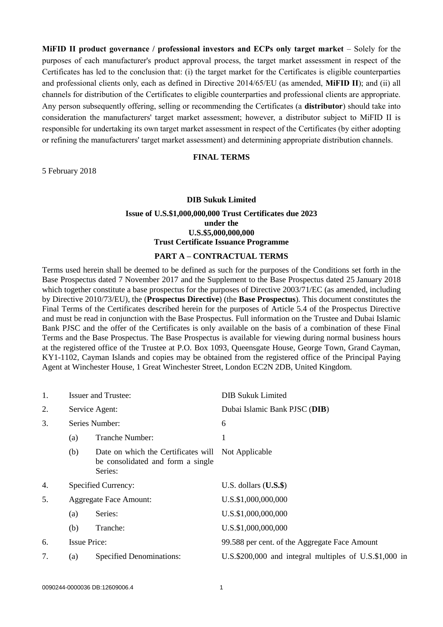**MiFID II product governance / professional investors and ECPs only target market** – Solely for the purposes of each manufacturer's product approval process, the target market assessment in respect of the Certificates has led to the conclusion that: (i) the target market for the Certificates is eligible counterparties and professional clients only, each as defined in Directive 2014/65/EU (as amended, **MiFID II**); and (ii) all channels for distribution of the Certificates to eligible counterparties and professional clients are appropriate. Any person subsequently offering, selling or recommending the Certificates (a **distributor**) should take into consideration the manufacturers' target market assessment; however, a distributor subject to MiFID II is responsible for undertaking its own target market assessment in respect of the Certificates (by either adopting or refining the manufacturers' target market assessment) and determining appropriate distribution channels.

#### **FINAL TERMS**

5 February 2018

#### **DIB Sukuk Limited**

## **Issue of U.S.\$1,000,000,000 Trust Certificates due 2023 under the U.S.\$5,000,000,000 Trust Certificate Issuance Programme**

### **PART A – CONTRACTUAL TERMS**

Terms used herein shall be deemed to be defined as such for the purposes of the Conditions set forth in the Base Prospectus dated 7 November 2017 and the Supplement to the Base Prospectus dated 25 January 2018 which together constitute a base prospectus for the purposes of Directive 2003/71/EC (as amended, including by Directive 2010/73/EU), the (**Prospectus Directive**) (the **Base Prospectus**). This document constitutes the Final Terms of the Certificates described herein for the purposes of Article 5.4 of the Prospectus Directive and must be read in conjunction with the Base Prospectus. Full information on the Trustee and Dubai Islamic Bank PJSC and the offer of the Certificates is only available on the basis of a combination of these Final Terms and the Base Prospectus. The Base Prospectus is available for viewing during normal business hours at the registered office of the Trustee at P.O. Box 1093, Queensgate House, George Town, Grand Cayman, KY1-1102, Cayman Islands and copies may be obtained from the registered office of the Principal Paying Agent at Winchester House, 1 Great Winchester Street, London EC2N 2DB, United Kingdom.

| 1. |                               | <b>Issuer and Trustee:</b>                                                                         | <b>DIB Sukuk Limited</b>                               |
|----|-------------------------------|----------------------------------------------------------------------------------------------------|--------------------------------------------------------|
| 2. |                               | Service Agent:                                                                                     | Dubai Islamic Bank PJSC (DIB)                          |
| 3. | Series Number:                |                                                                                                    | 6                                                      |
|    | (a)                           | Tranche Number:                                                                                    |                                                        |
|    | (b)                           | Date on which the Certificates will Not Applicable<br>be consolidated and form a single<br>Series: |                                                        |
| 4. |                               | Specified Currency:                                                                                | U.S. dollars $(U.S.$ \$)                               |
| 5. | <b>Aggregate Face Amount:</b> |                                                                                                    | U.S.\$1,000,000,000                                    |
|    | (a)                           | Series:                                                                                            | U.S.\$1,000,000,000                                    |
|    | (b)                           | Tranche:                                                                                           | U.S.\$1,000,000,000                                    |
| 6. | <b>Issue Price:</b>           |                                                                                                    | 99.588 per cent. of the Aggregate Face Amount          |
| 7. | (a)                           | <b>Specified Denominations:</b>                                                                    | U.S.\$200,000 and integral multiples of U.S.\$1,000 in |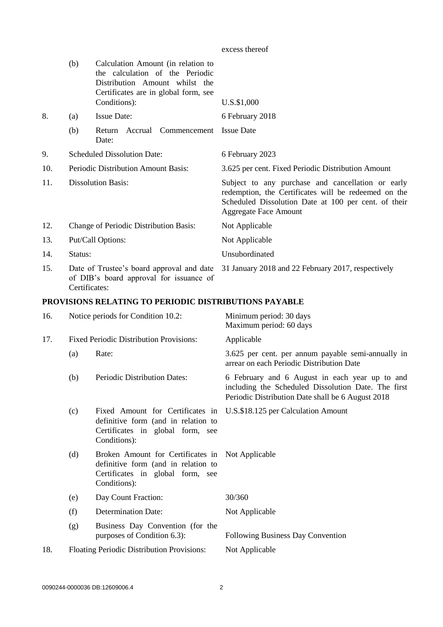| excess thereof |  |
|----------------|--|
|----------------|--|

|     | (b)                                    | Calculation Amount (in relation to<br>the calculation of the Periodic<br>Distribution Amount whilst the<br>Certificates are in global form, see |                                                                                                                                                                                                   |
|-----|----------------------------------------|-------------------------------------------------------------------------------------------------------------------------------------------------|---------------------------------------------------------------------------------------------------------------------------------------------------------------------------------------------------|
|     |                                        | Conditions):                                                                                                                                    | U.S.\$1,000                                                                                                                                                                                       |
| 8.  | (a)                                    | <b>Issue Date:</b>                                                                                                                              | 6 February 2018                                                                                                                                                                                   |
|     | (b)                                    | Accrual Commencement<br>Return<br>Date:                                                                                                         | <b>Issue Date</b>                                                                                                                                                                                 |
| 9.  | <b>Scheduled Dissolution Date:</b>     |                                                                                                                                                 | 6 February 2023                                                                                                                                                                                   |
| 10. | Periodic Distribution Amount Basis:    |                                                                                                                                                 | 3.625 per cent. Fixed Periodic Distribution Amount                                                                                                                                                |
| 11. | <b>Dissolution Basis:</b>              |                                                                                                                                                 | Subject to any purchase and cancellation or early<br>redemption, the Certificates will be redeemed on the<br>Scheduled Dissolution Date at 100 per cent. of their<br><b>Aggregate Face Amount</b> |
| 12. | Change of Periodic Distribution Basis: |                                                                                                                                                 | Not Applicable                                                                                                                                                                                    |
| 13. | Put/Call Options:                      |                                                                                                                                                 | Not Applicable                                                                                                                                                                                    |
| 14. | Status:                                |                                                                                                                                                 | Unsubordinated                                                                                                                                                                                    |
| 15. | Certificates:                          | Date of Trustee's board approval and date<br>of DIB's board approval for issuance of                                                            | 31 January 2018 and 22 February 2017, respectively                                                                                                                                                |

## **PROVISIONS RELATING TO PERIODIC DISTRIBUTIONS PAYABLE**

| 16. | Notice periods for Condition 10.2:         |                                                                                                                                                                 | Minimum period: 30 days<br>Maximum period: 60 days                                                                                                         |
|-----|--------------------------------------------|-----------------------------------------------------------------------------------------------------------------------------------------------------------------|------------------------------------------------------------------------------------------------------------------------------------------------------------|
| 17. |                                            | <b>Fixed Periodic Distribution Provisions:</b>                                                                                                                  | Applicable                                                                                                                                                 |
|     | (a)                                        | Rate:                                                                                                                                                           | 3.625 per cent. per annum payable semi-annually in<br>arrear on each Periodic Distribution Date                                                            |
|     | (b)                                        | Periodic Distribution Dates:                                                                                                                                    | 6 February and 6 August in each year up to and<br>including the Scheduled Dissolution Date. The first<br>Periodic Distribution Date shall be 6 August 2018 |
|     | (c)                                        | Fixed Amount for Certificates in U.S.\$18.125 per Calculation Amount<br>definitive form (and in relation to<br>Certificates in global form, see<br>Conditions): |                                                                                                                                                            |
|     | (d)                                        | Broken Amount for Certificates in Not Applicable<br>definitive form (and in relation to<br>Certificates in global form, see<br>Conditions):                     |                                                                                                                                                            |
|     | (e)                                        | Day Count Fraction:                                                                                                                                             | 30/360                                                                                                                                                     |
|     | (f)                                        | <b>Determination Date:</b>                                                                                                                                      | Not Applicable                                                                                                                                             |
|     | (g)                                        | Business Day Convention (for the<br>purposes of Condition 6.3):                                                                                                 | Following Business Day Convention                                                                                                                          |
| 18. | Floating Periodic Distribution Provisions: |                                                                                                                                                                 | Not Applicable                                                                                                                                             |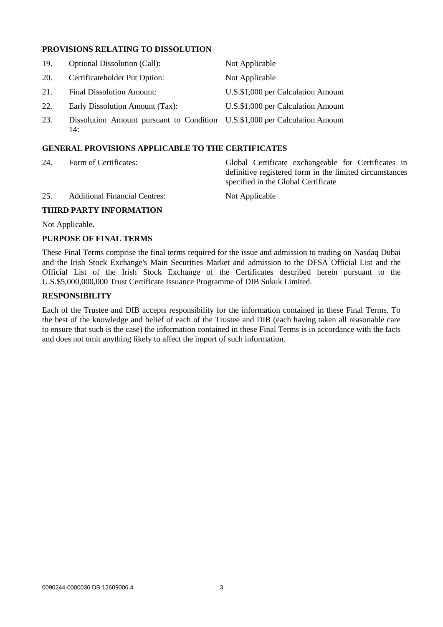## **PROVISIONS RELATING TO DISSOLUTION**

| 19. | <b>Optional Dissolution (Call):</b>                                                | Not Applicable                     |
|-----|------------------------------------------------------------------------------------|------------------------------------|
| 20. | Certificateholder Put Option:                                                      | Not Applicable                     |
| 21. | <b>Final Dissolution Amount:</b>                                                   | U.S.\$1,000 per Calculation Amount |
| 22. | Early Dissolution Amount (Tax):                                                    | U.S.\$1,000 per Calculation Amount |
| 23. | Dissolution Amount pursuant to Condition U.S.\$1,000 per Calculation Amount<br>14: |                                    |

## **GENERAL PROVISIONS APPLICABLE TO THE CERTIFICATES**

| 24.                     | Form of Certificates:                | Global Certificate exchangeable for Certificates in<br>definitive registered form in the limited circumstances<br>specified in the Global Certificate |  |
|-------------------------|--------------------------------------|-------------------------------------------------------------------------------------------------------------------------------------------------------|--|
| 25.                     | <b>Additional Financial Centres:</b> | Not Applicable                                                                                                                                        |  |
| THIRD PARTY INFORMATION |                                      |                                                                                                                                                       |  |

Not Applicable.

#### **PURPOSE OF FINAL TERMS**

These Final Terms comprise the final terms required for the issue and admission to trading on Nasdaq Dubai and the Irish Stock Exchange's Main Securities Market and admission to the DFSA Official List and the Official List of the Irish Stock Exchange of the Certificates described herein pursuant to the U.S.\$5,000,000,000 Trust Certificate Issuance Programme of DIB Sukuk Limited.

### **RESPONSIBILITY**

Each of the Trustee and DIB accepts responsibility for the information contained in these Final Terms. To the best of the knowledge and belief of each of the Trustee and DIB (each having taken all reasonable care to ensure that such is the case) the information contained in these Final Terms is in accordance with the facts and does not omit anything likely to affect the import of such information.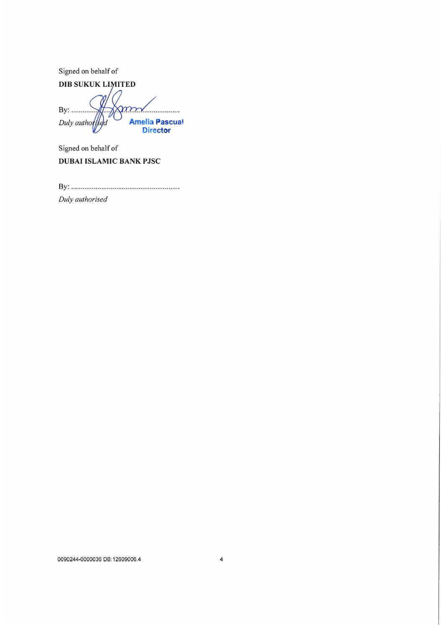Signed on behalf of

**DIB SUKUK LIMITED** 

By: .......... mm Amelia Pascual<br>Director Duly authorised

Signed on behalf of **DUBAI ISLAMIC BANK PJSC** 

Duly authorised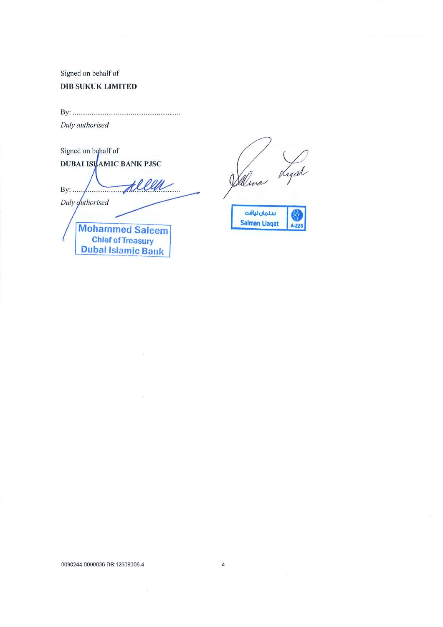# Signed on behalf of **DIB SUKUK LIMITED**

Duly authorised

Signed on behalf of **DUBAI ISI**AMIC BANK PJSC By: ......  $\sqrt{2\pi$ Duly *duthorised* **Mohammed Saleem Chief of Treasury** 

**Dubai Islamic Bank** 

rsa Walina

سلمان لياقت **Salman Llagat** 

0090244-0000036 DB:12609006.4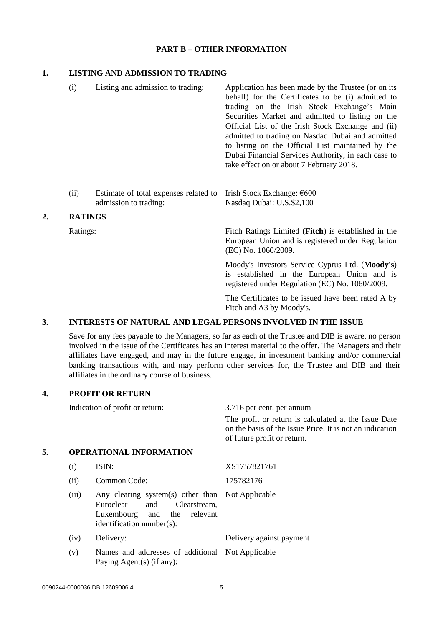#### **PART B – OTHER INFORMATION**

#### **1. LISTING AND ADMISSION TO TRADING**

- (i) Listing and admission to trading: Application has been made by the Trustee (or on its behalf) for the Certificates to be (i) admitted to trading on the Irish Stock Exchange's Main Securities Market and admitted to listing on the Official List of the Irish Stock Exchange and (ii) admitted to trading on Nasdaq Dubai and admitted to listing on the Official List maintained by the Dubai Financial Services Authority, in each case to take effect on or about 7 February 2018.
- (ii) Estimate of total expenses related to admission to trading: Irish Stock Exchange: €600 Nasdaq Dubai: U.S.\$2,100

#### **2. RATINGS**

Ratings: Fitch Ratings Limited (**Fitch**) is established in the European Union and is registered under Regulation (EC) No. 1060/2009.

> Moody's Investors Service Cyprus Ltd. (**Moody's**) is established in the European Union and is registered under Regulation (EC) No. 1060/2009.

> The Certificates to be issued have been rated A by Fitch and A3 by Moody's.

## **3. INTERESTS OF NATURAL AND LEGAL PERSONS INVOLVED IN THE ISSUE**

Save for any fees payable to the Managers, so far as each of the Trustee and DIB is aware, no person involved in the issue of the Certificates has an interest material to the offer. The Managers and their affiliates have engaged, and may in the future engage, in investment banking and/or commercial banking transactions with, and may perform other services for, the Trustee and DIB and their affiliates in the ordinary course of business.

### **4. PROFIT OR RETURN**

|    |       | Indication of profit or return:                                                                                                                        | 3.716 per cent. per annum                                                                                                                       |  |
|----|-------|--------------------------------------------------------------------------------------------------------------------------------------------------------|-------------------------------------------------------------------------------------------------------------------------------------------------|--|
|    |       |                                                                                                                                                        | The profit or return is calculated at the Issue Date<br>on the basis of the Issue Price. It is not an indication<br>of future profit or return. |  |
| 5. |       | <b>OPERATIONAL INFORMATION</b>                                                                                                                         |                                                                                                                                                 |  |
|    | (i)   | ISIN:                                                                                                                                                  | XS1757821761                                                                                                                                    |  |
|    | (ii)  | Common Code:                                                                                                                                           | 175782176                                                                                                                                       |  |
|    | (iii) | Any clearing system(s) other than Not Applicable<br>Euroclear<br>and<br>Clearstream,<br>Luxembourg and<br>the<br>relevant<br>identification number(s): |                                                                                                                                                 |  |
|    | (iv)  | Delivery:                                                                                                                                              | Delivery against payment                                                                                                                        |  |
|    | (v)   | Names and addresses of additional<br>Paying Agent(s) (if any):                                                                                         | Not Applicable                                                                                                                                  |  |
|    |       |                                                                                                                                                        |                                                                                                                                                 |  |